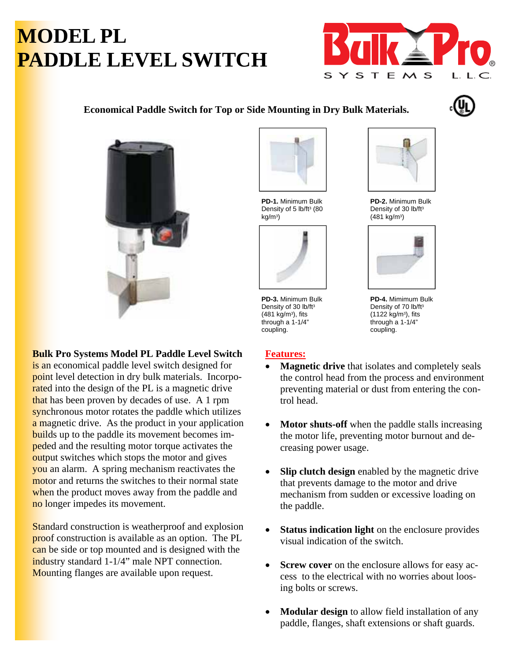# **MODEL PL PADDLE LEVEL SWITCH**



## **Economical Paddle Switch for Top or Side Mounting in Dry Bulk Materials.**





#### **Bulk Pro Systems Model PL Paddle Level Switch**

is an economical paddle level switch designed for point level detection in dry bulk materials. Incorporated into the design of the PL is a magnetic drive that has been proven by decades of use. A 1 rpm synchronous motor rotates the paddle which utilizes a magnetic drive. As the product in your application builds up to the paddle its movement becomes impeded and the resulting motor torque activates the output switches which stops the motor and gives you an alarm. A spring mechanism reactivates the motor and returns the switches to their normal state when the product moves away from the paddle and no longer impedes its movement.

**Standard construction is weatherproof and explosion** proof construction is available as an option. The PL can be side or top mounted and is designed with the industry standard 1-1/4" male NPT connection. Mounting flanges are available upon request.



**PD-1.** Minimum Bulk Density of 5 lb/ft<sup>3</sup> (80  $kg/m<sup>3</sup>$ )



**PD-3.** Minimum Bulk Density of 30 lb/ft<sup>3</sup>  $(481 \text{ kg/m}^3)$ , fits through a 1-1/4" coupling.

### **Features:**



**PD-2.** Minimum Bulk Density of 30 lb/ft<sup>3</sup> (481 kg/m³)



**PD-4.** Mimimum Bulk Density of 70 lb/ft<sup>3</sup>  $(1122 \text{ kg/m}^3)$ , fits through a 1-1/4" coupling.

- **Magnetic drive** that isolates and completely seals the control head from the process and environment preventing material or dust from entering the control head.
- **Motor shuts-off** when the paddle stalls increasing the motor life, preventing motor burnout and decreasing power usage.
- **Slip clutch design** enabled by the magnetic drive that prevents damage to the motor and drive mechanism from sudden or excessive loading on the paddle.
- **Status indication light** on the enclosure provides visual indication of the switch.
- **Screw cover** on the enclosure allows for easy access to the electrical with no worries about loosing bolts or screws.
- **Modular design** to allow field installation of any paddle, flanges, shaft extensions or shaft guards.